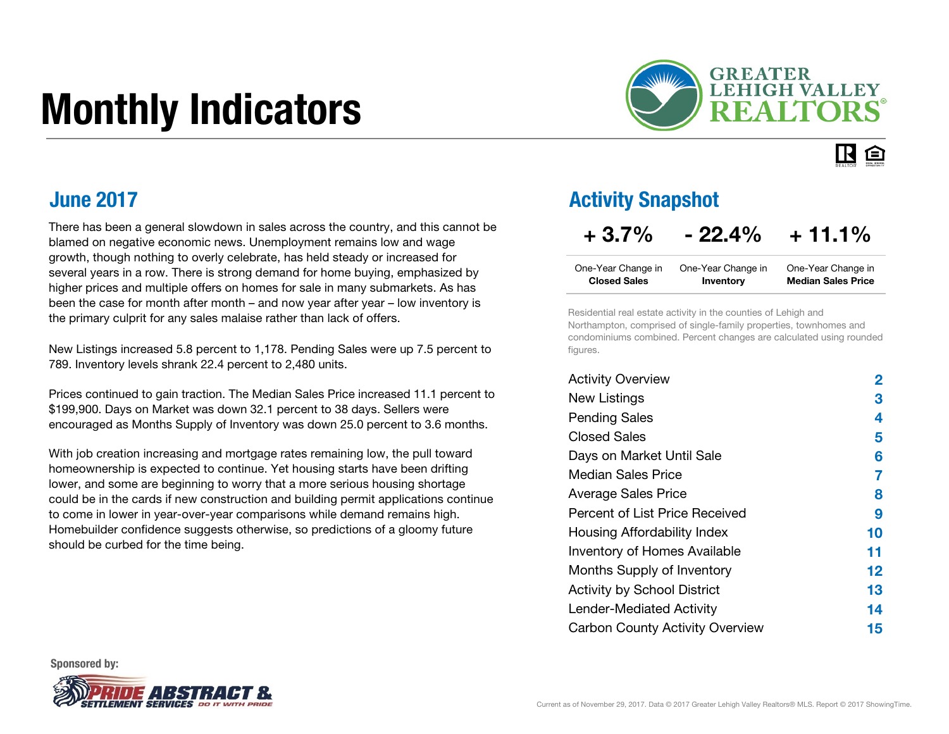# Monthly Indicators



#### IR. 臼

### June 2017

There has been a general slowdown in sales across the country, and this cannot be blamed on negative economic news. Unemployment remains low and wage growth, though nothing to overly celebrate, has held steady or increased for several years in a row. There is strong demand for home buying, emphasized by higher prices and multiple offers on homes for sale in many submarkets. As has been the case for month after month – and now year after year – low inventory is the primary culprit for any sales malaise rather than lack of offers.

New Listings increased 5.8 percent to 1,178. Pending Sales were up 7.5 percent to 789. Inventory levels shrank 22.4 percent to 2,480 units.

Prices continued to gain traction. The Median Sales Price increased 11.1 percent to \$199,900. Days on Market was down 32.1 percent to 38 days. Sellers were encouraged as Months Supply of Inventory was down 25.0 percent to 3.6 months.

With job creation increasing and mortgage rates remaining low, the pull toward homeownership is expected to continue. Yet housing starts have been drifting lower, and some are beginning to worry that a more serious housing shortage could be in the cards if new construction and building permit applications continue to come in lower in year-over-year comparisons while demand remains high. Homebuilder confidence suggests otherwise, so predictions of a gloomy future should be curbed for the time being.

### Activity Snapshot

### $+3.7\%$   $-22.4\%$   $+11.1\%$

| One-Year Change in  | One-Year Change in | One-Year Change in        |
|---------------------|--------------------|---------------------------|
| <b>Closed Sales</b> | Inventory          | <b>Median Sales Price</b> |

Residential real estate activity in the counties of Lehigh and Northampton, comprised of single-family properties, townhomes and condominiums combined. Percent changes are calculated using rounded figures.

| <b>Activity Overview</b>               | 2       |
|----------------------------------------|---------|
| <b>New Listings</b>                    | З       |
| <b>Pending Sales</b>                   | 4       |
| <b>Closed Sales</b>                    | 5       |
| Days on Market Until Sale              | 6       |
| Median Sales Price                     | 7       |
| <b>Average Sales Price</b>             | 8       |
| Percent of List Price Received         | 9       |
| Housing Affordability Index            | 10      |
| <b>Inventory of Homes Available</b>    | 11      |
| Months Supply of Inventory             | $12 \,$ |
| <b>Activity by School District</b>     | 13      |
| Lender-Mediated Activity               | 14      |
| <b>Carbon County Activity Overview</b> | 15      |

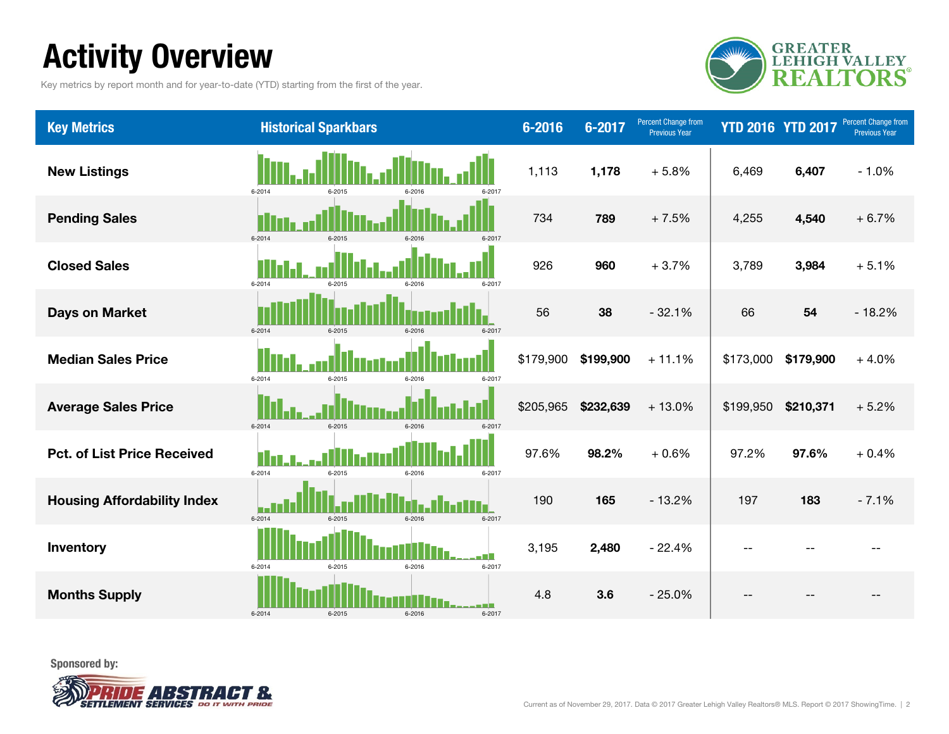## Activity Overview

Key metrics by report month and for year-to-date (YTD) starting from the first of the year.



| <b>Key Metrics</b>                 | <b>Historical Sparkbars</b>              | $6 - 2016$ | 6-2017    | Percent Change from<br><b>Previous Year</b> | <b>YTD 2016 YTD 2017</b> |           | Percent Change from<br><b>Previous Year</b> |
|------------------------------------|------------------------------------------|------------|-----------|---------------------------------------------|--------------------------|-----------|---------------------------------------------|
| <b>New Listings</b>                | 6-2014<br>6-2017<br>6-2015<br>6.2016     | 1,113      | 1,178     | $+5.8%$                                     | 6,469                    | 6,407     | $-1.0%$                                     |
| <b>Pending Sales</b>               | 6-2014<br>6-2015<br>6-2016<br>6-2017     | 734        | 789       | $+7.5%$                                     | 4,255                    | 4,540     | $+6.7%$                                     |
| <b>Closed Sales</b>                | 6-2014<br>6-2015<br>6-2017<br>6-2016     | 926        | 960       | $+3.7%$                                     | 3,789                    | 3,984     | $+5.1%$                                     |
| <b>Days on Market</b>              | 6-2014<br>$6 - 2015$<br>6-2017<br>6-2016 | 56         | 38        | $-32.1%$                                    | 66                       | 54        | $-18.2%$                                    |
| <b>Median Sales Price</b>          | 6-2014<br>6-2015<br>6-2016<br>6-2017     | \$179,900  | \$199,900 | $+11.1%$                                    | \$173,000                | \$179,900 | $+4.0%$                                     |
| <b>Average Sales Price</b>         | 6-2014<br>6-2015<br>6-2016<br>6-2017     | \$205,965  | \$232,639 | $+13.0%$                                    | \$199,950                | \$210,371 | $+5.2%$                                     |
| <b>Pct. of List Price Received</b> | 6-2014<br>6-2015<br>6-2016<br>6-2017     | 97.6%      | 98.2%     | $+0.6%$                                     | 97.2%                    | 97.6%     | $+0.4%$                                     |
| <b>Housing Affordability Index</b> | $6 - 2015$<br>6-2014<br>6-2017<br>6-2016 | 190        | 165       | $-13.2%$                                    | 197                      | 183       | $-7.1%$                                     |
| Inventory                          | 6-2014<br>6-2015<br>6-2016<br>6-2017     | 3,195      | 2,480     | $-22.4%$                                    | $-$                      |           |                                             |
| <b>Months Supply</b>               | 6-2014<br>$6 - 2015$<br>6-2016<br>6-2017 | 4.8        | 3.6       | $-25.0%$                                    | --                       |           |                                             |

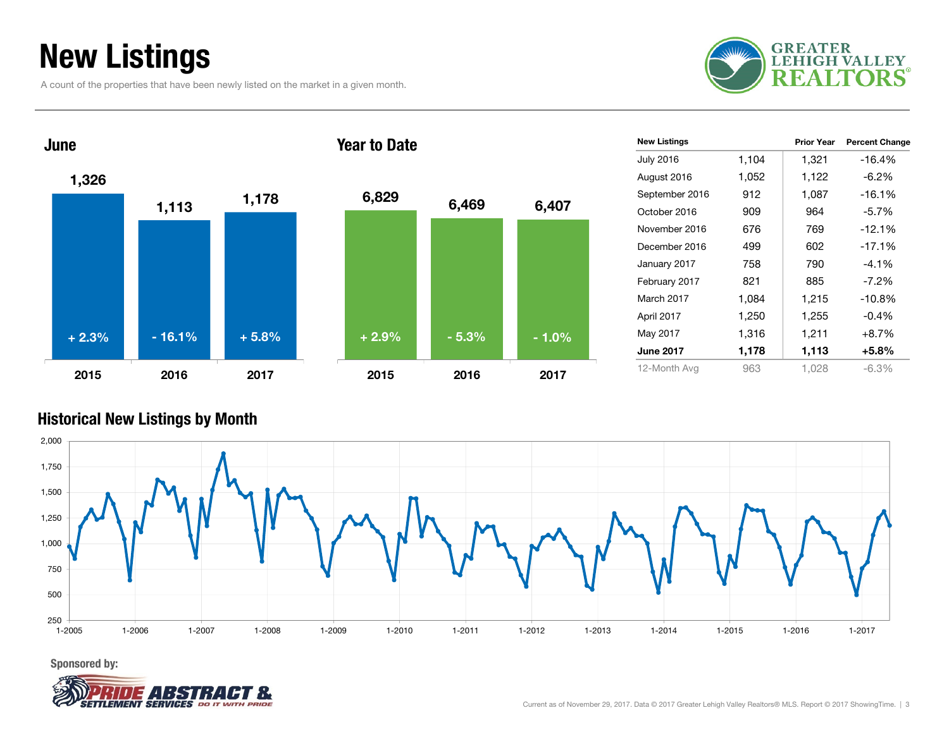## New Listings

A count of the properties that have been newly listed on the market in a given month.





| <b>New Listings</b> |       | <b>Prior Year</b> | <b>Percent Change</b> |
|---------------------|-------|-------------------|-----------------------|
| <b>July 2016</b>    | 1,104 | 1,321             | $-16.4%$              |
| August 2016         | 1,052 | 1,122             | $-6.2%$               |
| September 2016      | 912   | 1,087             | $-16.1%$              |
| October 2016        | 909   | 964               | $-5.7\%$              |
| November 2016       | 676   | 769               | $-12.1%$              |
| December 2016       | 499   | 602               | $-17.1%$              |
| January 2017        | 758   | 790               | $-4.1%$               |
| February 2017       | 821   | 885               | $-7.2\%$              |
| March 2017          | 1,084 | 1,215             | $-10.8%$              |
| April 2017          | 1,250 | 1,255             | $-0.4%$               |
| May 2017            | 1,316 | 1,211             | $+8.7%$               |
| <b>June 2017</b>    | 1,178 | 1,113             | +5.8%                 |
| 12-Month Avg        | 963   | 1.028             | $-6.3\%$              |

#### Historical New Listings by Month



Sponsored by:

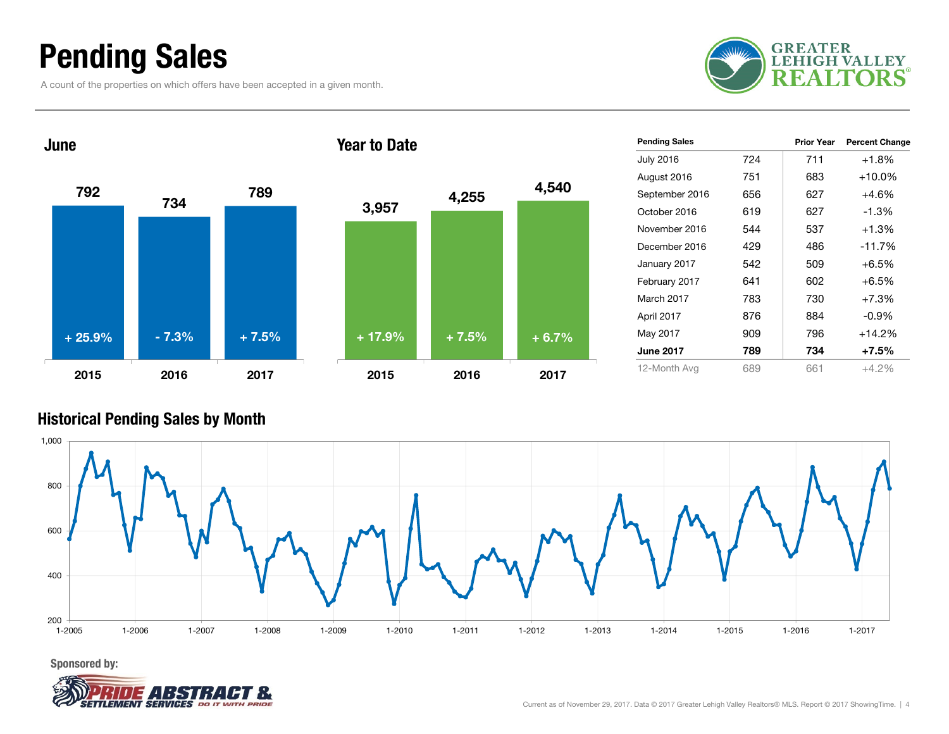### Pending Sales

A count of the properties on which offers have been accepted in a given month.





| <b>Pending Sales</b> |     | Prior Year | <b>Percent Change</b> |
|----------------------|-----|------------|-----------------------|
| <b>July 2016</b>     | 724 | 711        | $+1.8%$               |
| August 2016          | 751 | 683        | $+10.0\%$             |
| September 2016       | 656 | 627        | $+4.6%$               |
| October 2016         | 619 | 627        | $-1.3%$               |
| November 2016        | 544 | 537        | $+1.3%$               |
| December 2016        | 429 | 486        | $-11.7%$              |
| January 2017         | 542 | 509        | $+6.5%$               |
| February 2017        | 641 | 602        | $+6.5%$               |
| March 2017           | 783 | 730        | $+7.3%$               |
| April 2017           | 876 | 884        | $-0.9%$               |
| May 2017             | 909 | 796        | $+14.2%$              |
| <b>June 2017</b>     | 789 | 734        | +7.5%                 |
| 12-Month Avg         | 689 | 661        | $+4.2\%$              |

#### Historical Pending Sales by Month



Sponsored by:

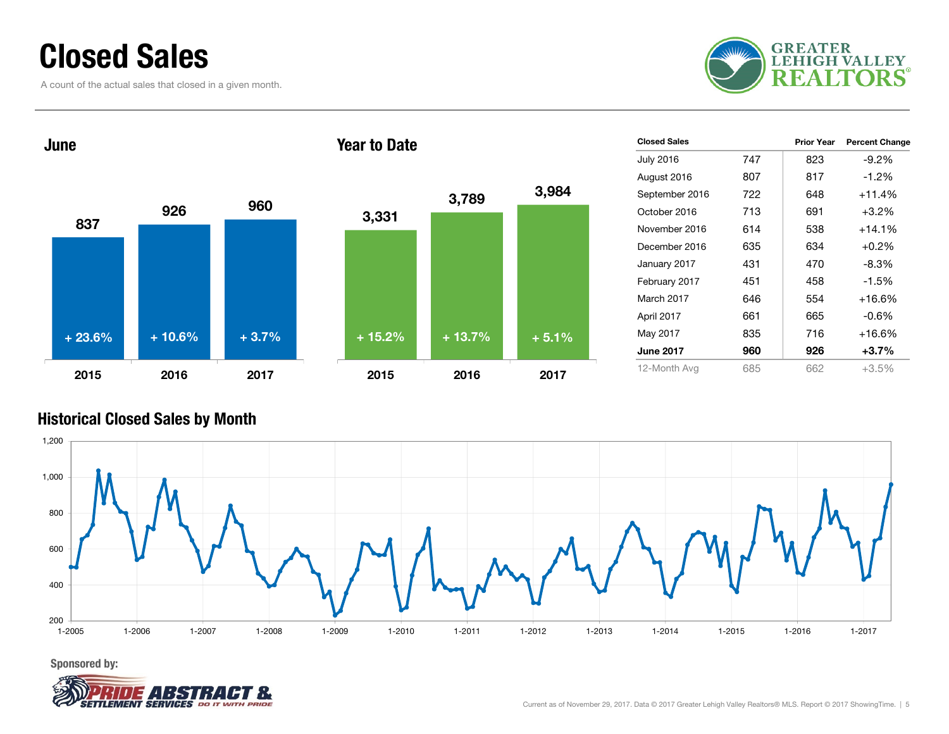### Closed Sales

A count of the actual sales that closed in a given month.





| <b>Closed Sales</b> |     | <b>Prior Year</b> | <b>Percent Change</b> |
|---------------------|-----|-------------------|-----------------------|
| <b>July 2016</b>    | 747 | 823               | $-9.2%$               |
| August 2016         | 807 | 817               | $-1.2\%$              |
| September 2016      | 722 | 648               | $+11.4%$              |
| October 2016        | 713 | 691               | $+3.2%$               |
| November 2016       | 614 | 538               | $+14.1%$              |
| December 2016       | 635 | 634               | $+0.2%$               |
| January 2017        | 431 | 470               | $-8.3%$               |
| February 2017       | 451 | 458               | $-1.5%$               |
| March 2017          | 646 | 554               | $+16.6%$              |
| April 2017          | 661 | 665               | $-0.6%$               |
| May 2017            | 835 | 716               | $+16.6%$              |
| <b>June 2017</b>    | 960 | 926               | $+3.7%$               |
| 12-Month Avg        | 685 | 662               | $+3.5%$               |

### Historical Closed Sales by Month

![](_page_4_Figure_6.jpeg)

Sponsored by:

![](_page_4_Picture_8.jpeg)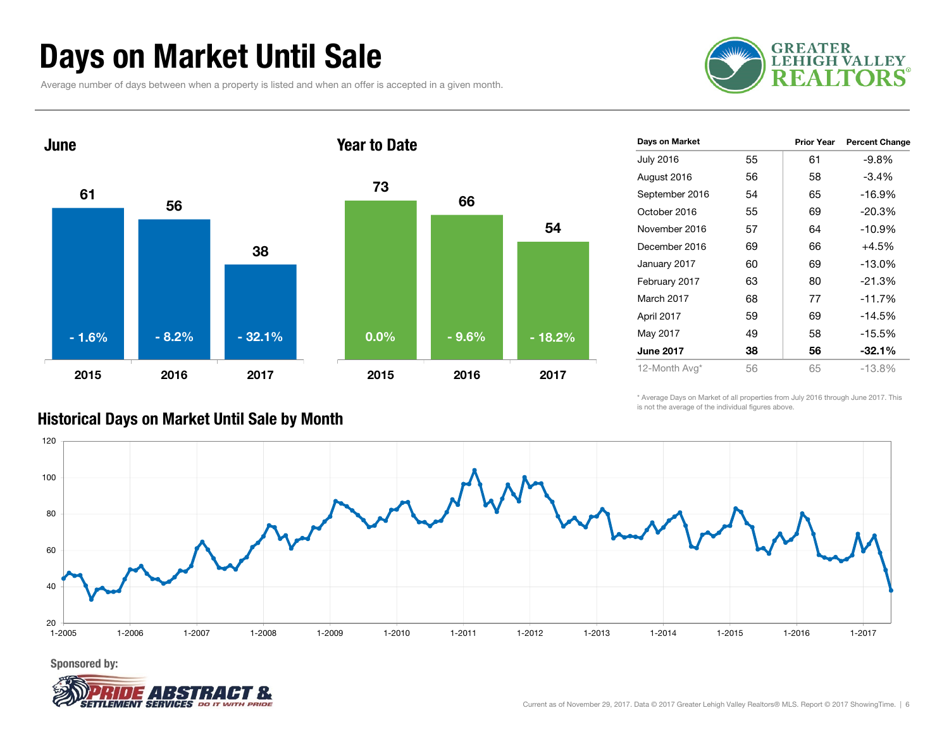### Days on Market Until Sale

Average number of days between when a property is listed and when an offer is accepted in a given month.

![](_page_5_Picture_2.jpeg)

![](_page_5_Figure_3.jpeg)

| Days on Market   |    | <b>Prior Year</b> | <b>Percent Change</b> |
|------------------|----|-------------------|-----------------------|
| <b>July 2016</b> | 55 | 61                | $-9.8%$               |
| August 2016      | 56 | 58                | $-3.4%$               |
| September 2016   | 54 | 65                | $-16.9%$              |
| October 2016     | 55 | 69                | $-20.3%$              |
| November 2016    | 57 | 64                | $-10.9%$              |
| December 2016    | 69 | 66                | +4.5%                 |
| January 2017     | 60 | 69                | $-13.0%$              |
| February 2017    | 63 | 80                | $-21.3%$              |
| March 2017       | 68 | 77                | $-11.7%$              |
| April 2017       | 59 | 69                | $-14.5%$              |
| May 2017         | 49 | 58                | $-15.5%$              |
| <b>June 2017</b> | 38 | 56                | $-32.1\%$             |
| 12-Month Avg*    | 56 | 65                | $-13.8%$              |

\* Average Days on Market of all properties from July 2016 through June 2017. This is not the average of the individual figures above.

![](_page_5_Figure_6.jpeg)

#### Historical Days on Market Until Sale by Month

![](_page_5_Picture_9.jpeg)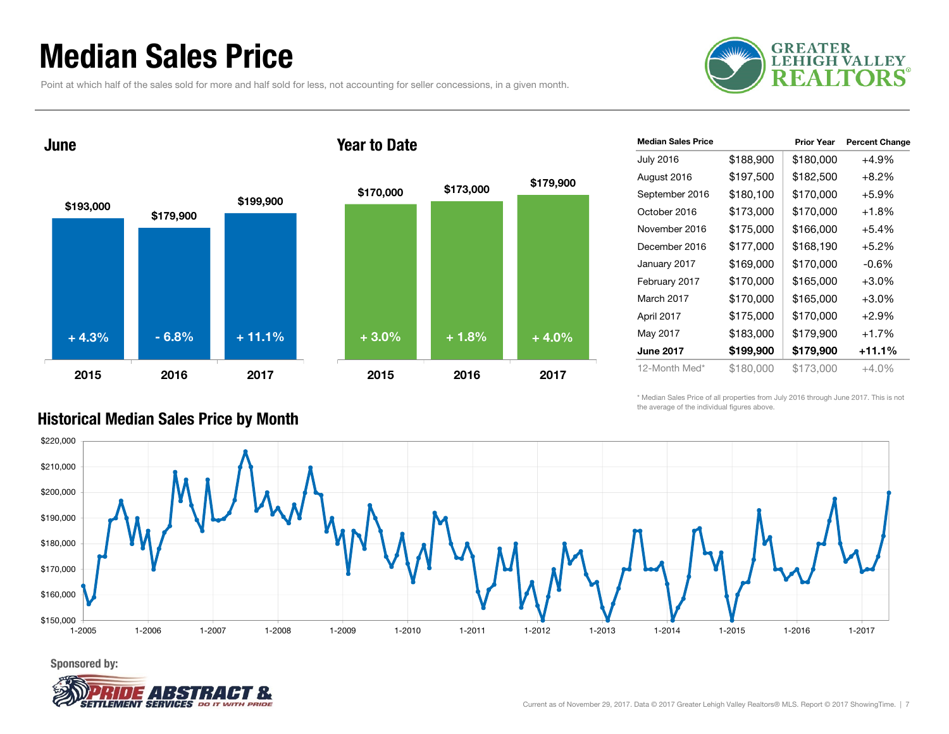### Median Sales Price

Point at which half of the sales sold for more and half sold for less, not accounting for seller concessions, in a given month.

![](_page_6_Picture_2.jpeg)

![](_page_6_Figure_3.jpeg)

|  | <b>Year to Date</b> |
|--|---------------------|
|  |                     |

![](_page_6_Figure_5.jpeg)

\* Median Sales Price of all properties from July 2016 through June 2017. This is not the average of the individual figures above.

![](_page_6_Figure_7.jpeg)

### Historical Median Sales Price by Month

Sponsored by:

![](_page_6_Picture_10.jpeg)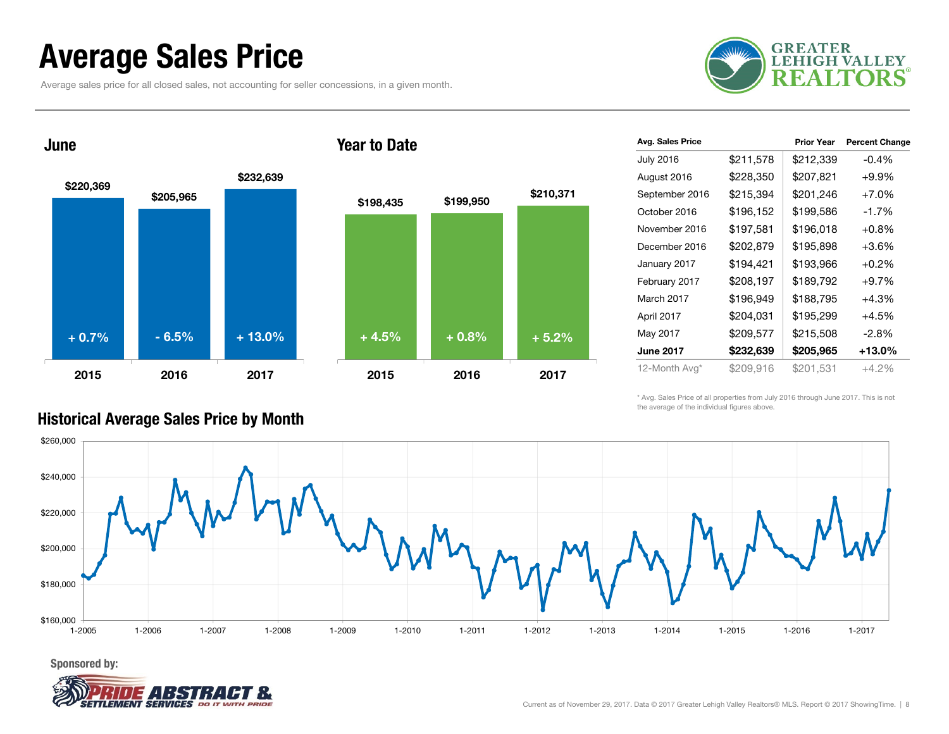### Average Sales Price

Average sales price for all closed sales, not accounting for seller concessions, in a given month.

![](_page_7_Picture_2.jpeg)

![](_page_7_Figure_3.jpeg)

#### Year to Date

![](_page_7_Figure_5.jpeg)

| Avg. Sales Price |           | <b>Prior Year</b> | <b>Percent Change</b> |
|------------------|-----------|-------------------|-----------------------|
| <b>July 2016</b> | \$211,578 | \$212,339         | $-0.4%$               |
| August 2016      | \$228,350 | \$207,821         | $+9.9%$               |
| September 2016   | \$215,394 | \$201,246         | $+7.0%$               |
| October 2016     | \$196,152 | \$199,586         | $-1.7%$               |
| November 2016    | \$197,581 | \$196,018         | $+0.8%$               |
| December 2016    | \$202,879 | \$195,898         | $+3.6%$               |
| January 2017     | \$194,421 | \$193,966         | $+0.2%$               |
| February 2017    | \$208,197 | \$189,792         | $+9.7%$               |
| March 2017       | \$196,949 | \$188,795         | $+4.3%$               |
| April 2017       | \$204,031 | \$195,299         | $+4.5%$               |
| May 2017         | \$209,577 | \$215,508         | $-2.8%$               |
| <b>June 2017</b> | \$232,639 | \$205,965         | +13.0%                |
| 12-Month Avg*    | \$209,916 | \$201,531         | $+4.2%$               |

\* Avg. Sales Price of all properties from July 2016 through June 2017. This is not the average of the individual figures above.

![](_page_7_Figure_8.jpeg)

### Historical Average Sales Price by Month

June

![](_page_7_Picture_11.jpeg)

Sponsored by: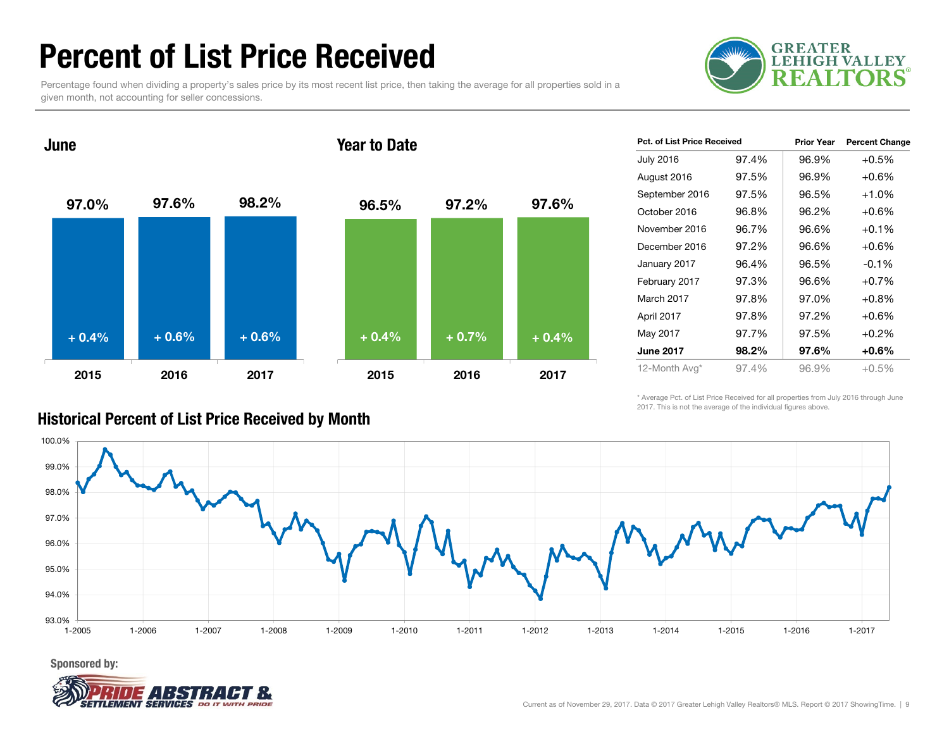### Percent of List Price Received

Percentage found when dividing a property's sales price by its most recent list price, then taking the average for all properties sold in a given month, not accounting for seller concessions.

![](_page_8_Picture_2.jpeg)

![](_page_8_Figure_3.jpeg)

| <b>Pct. of List Price Received</b> |       | <b>Prior Year</b> | <b>Percent Change</b> |
|------------------------------------|-------|-------------------|-----------------------|
| <b>July 2016</b>                   | 97.4% | 96.9%             | $+0.5%$               |
| August 2016                        | 97.5% | 96.9%             | $+0.6%$               |
| September 2016                     | 97.5% | 96.5%             | $+1.0%$               |
| October 2016                       | 96.8% | 96.2%             | $+0.6%$               |
| November 2016                      | 96.7% | 96.6%             | $+0.1\%$              |
| December 2016                      | 97.2% | 96.6%             | $+0.6%$               |
| January 2017                       | 96.4% | 96.5%             | $-0.1%$               |
| February 2017                      | 97.3% | 96.6%             | $+0.7%$               |
| March 2017                         | 97.8% | 97.0%             | $+0.8\%$              |
| April 2017                         | 97.8% | 97.2%             | $+0.6%$               |
| May 2017                           | 97.7% | 97.5%             | $+0.2%$               |
| <b>June 2017</b>                   | 98.2% | 97.6%             | $+0.6%$               |
| 12-Month Avg*                      | 97.4% | 96.9%             | $+0.5%$               |

\* Average Pct. of List Price Received for all properties from July 2016 through June 2017. This is not the average of the individual figures above.

![](_page_8_Figure_6.jpeg)

Historical Percent of List Price Received by Month

Sponsored by:

![](_page_8_Picture_9.jpeg)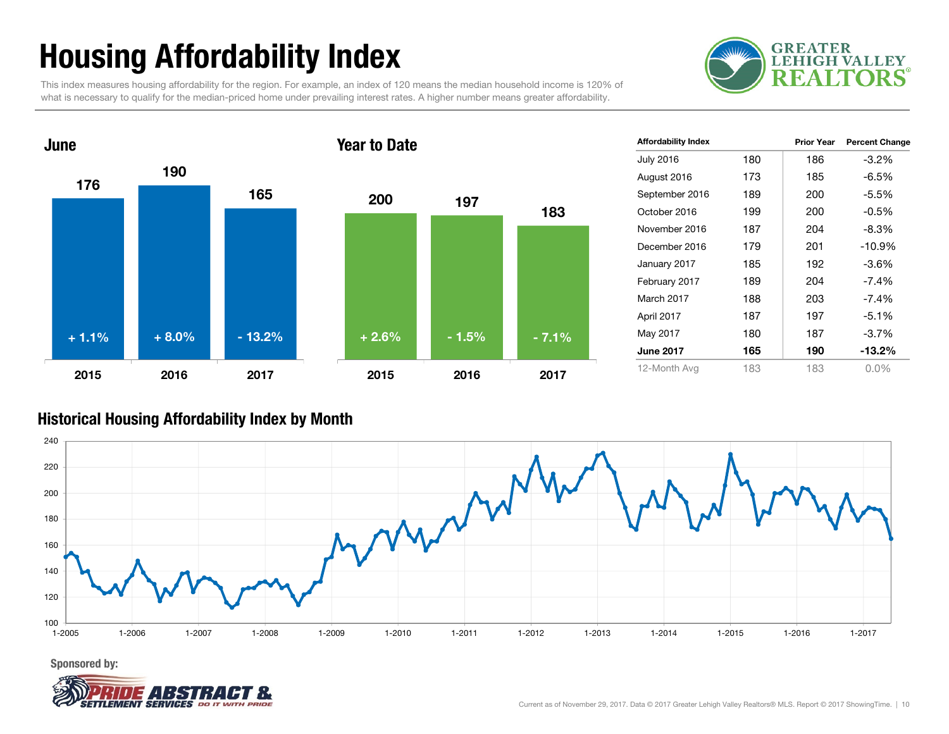## Housing Affordability Index

This index measures housing affordability for the region. For example, an index of 120 means the median household income is 120% of what is necessary to qualify for the median-priced home under prevailing interest rates. A higher number means greater affordability.

![](_page_9_Picture_2.jpeg)

![](_page_9_Figure_3.jpeg)

| <b>Affordability Index</b> |     | <b>Prior Year</b> | <b>Percent Change</b> |
|----------------------------|-----|-------------------|-----------------------|
| <b>July 2016</b>           | 180 | 186               | $-3.2%$               |
| August 2016                | 173 | 185               | -6.5%                 |
| September 2016             | 189 | 200               | -5.5%                 |
| October 2016               | 199 | 200               | $-0.5\%$              |
| November 2016              | 187 | 204               | -8.3%                 |
| December 2016              | 179 | 201               | $-10.9%$              |
| January 2017               | 185 | 192               | -3.6%                 |
| February 2017              | 189 | 204               | $-7.4\%$              |
| March 2017                 | 188 | 203               | $-7.4%$               |
| April 2017                 | 187 | 197               | $-5.1%$               |
| May 2017                   | 180 | 187               | $-3.7\%$              |
| <b>June 2017</b>           | 165 | 190               | -13.2%                |
| 12-Month Avg               | 183 | 183               | $0.0\%$               |

#### Historical Housing Affordability Index by Mont h

![](_page_9_Figure_6.jpeg)

Sponsored by:

![](_page_9_Picture_8.jpeg)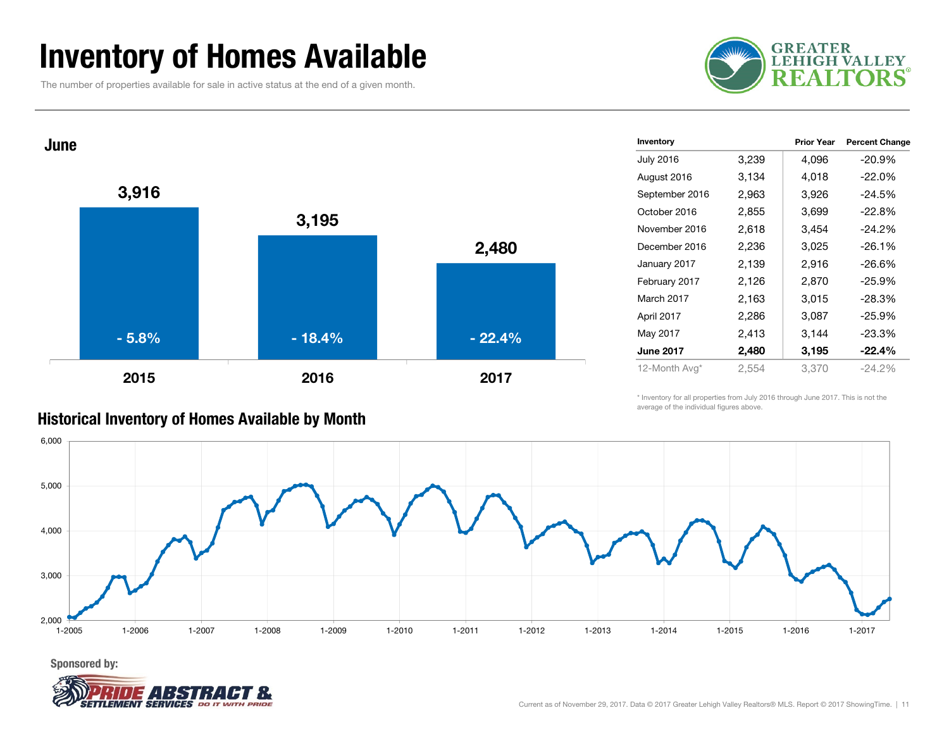### Inventory of Homes Available

The number of properties available for sale in active status at the end of a given month.

![](_page_10_Picture_2.jpeg)

![](_page_10_Figure_3.jpeg)

| Inventory        |       | <b>Prior Year</b> | <b>Percent Change</b> |
|------------------|-------|-------------------|-----------------------|
| <b>July 2016</b> | 3,239 | 4,096             | $-20.9%$              |
| August 2016      | 3,134 | 4,018             | $-22.0%$              |
| September 2016   | 2,963 | 3,926             | $-24.5%$              |
| October 2016     | 2,855 | 3,699             | $-22.8%$              |
| November 2016    | 2,618 | 3,454             | $-24.2%$              |
| December 2016    | 2,236 | 3,025             | $-26.1%$              |
| January 2017     | 2,139 | 2,916             | $-26.6%$              |
| February 2017    | 2,126 | 2,870             | $-25.9%$              |
| March 2017       | 2,163 | 3,015             | $-28.3%$              |
| April 2017       | 2,286 | 3,087             | $-25.9%$              |
| May 2017         | 2,413 | 3,144             | $-23.3%$              |
| <b>June 2017</b> | 2,480 | 3,195             | $-22.4%$              |
| 12-Month Avg*    | 2,554 | 3,370             | $-24.2%$              |

\* Inventory for all properties from July 2016 through June 2017. This is not the average of the individual figures above.

![](_page_10_Figure_6.jpeg)

Historical Inventory of Homes Available by Month

![](_page_10_Picture_9.jpeg)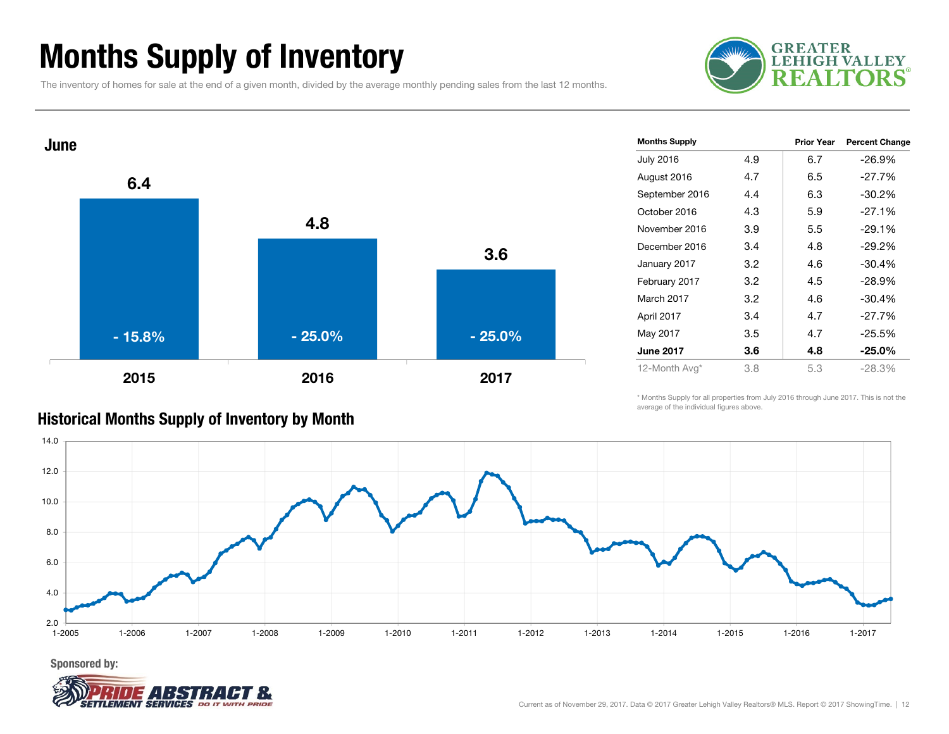### Months Supply of Inventory

The inventory of homes for sale at the end of a given month, divided by the average monthly pending sales from the last 12 months.

![](_page_11_Picture_2.jpeg)

![](_page_11_Figure_3.jpeg)

| <b>Months Supply</b> |     | Prior Year | <b>Percent Change</b> |
|----------------------|-----|------------|-----------------------|
| July 2016            | 4.9 | 6.7        | $-26.9%$              |
| August 2016          | 4.7 | 6.5        | $-27.7%$              |
| September 2016       | 4.4 | 6.3        | $-30.2%$              |
| October 2016         | 4.3 | 5.9        | $-27.1%$              |
| November 2016        | 3.9 | 5.5        | $-29.1%$              |
| December 2016        | 3.4 | 4.8        | $-29.2%$              |
| January 2017         | 3.2 | 4.6        | $-30.4%$              |
| February 2017        | 3.2 | 4.5        | $-28.9%$              |
| March 2017           | 3.2 | 4.6        | $-30.4%$              |
| April 2017           | 3.4 | 4.7        | $-27.7%$              |
| May 2017             | 3.5 | 4.7        | $-25.5%$              |
| <b>June 2017</b>     | 3.6 | 4.8        | $-25.0\%$             |
| 12-Month Avg*        | 3.8 | 5.3        | $-28.3%$              |
|                      |     |            |                       |

#### \* Months Supply for all properties from July 2016 through June 2017. This is not the average of the individual figures above.

![](_page_11_Figure_6.jpeg)

![](_page_11_Picture_8.jpeg)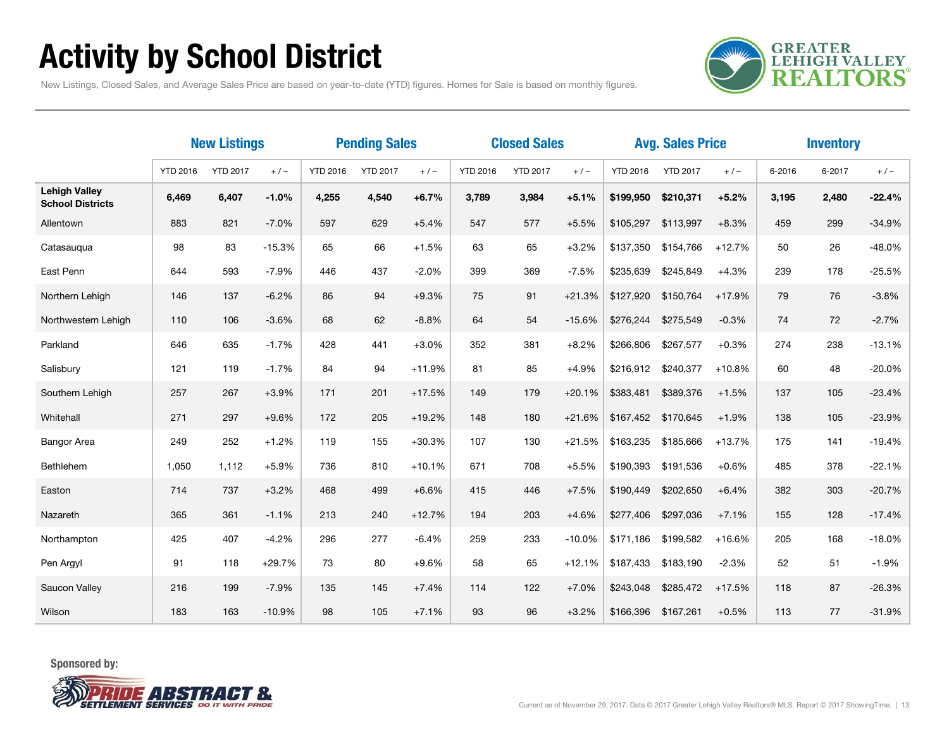## Activity by School District

**GREATER<br>LEHIGH VALLEY REALTORS** 

New Listings, Closed Sales, and Average Sales Price are based on year-to-date (YTD) figures. Homes for Sale is based on monthly figures.

|                                                 | <b>New Listings</b> |                 | <b>Pending Sales</b> |                 |                 | <b>Closed Sales</b> |                 |                 |          | <b>Avg. Sales Price</b> |                 | <b>Inventory</b> |        |        |          |
|-------------------------------------------------|---------------------|-----------------|----------------------|-----------------|-----------------|---------------------|-----------------|-----------------|----------|-------------------------|-----------------|------------------|--------|--------|----------|
|                                                 | <b>YTD 2016</b>     | <b>YTD 2017</b> | $+/-$                | <b>YTD 2016</b> | <b>YTD 2017</b> | $+/-$               | <b>YTD 2016</b> | <b>YTD 2017</b> | $+/-$    | <b>YTD 2016</b>         | <b>YTD 2017</b> | $+/-$            | 6-2016 | 6-2017 | $+/-$    |
| <b>Lehigh Valley</b><br><b>School Districts</b> | 6,469               | 6,407           | $-1.0%$              | 4,255           | 4,540           | $+6.7%$             | 3,789           | 3,984           | $+5.1%$  | \$199,950               | \$210,371       | $+5.2%$          | 3,195  | 2,480  | $-22.4%$ |
| Allentown                                       | 883                 | 821             | $-7.0%$              | 597             | 629             | $+5.4%$             | 547             | 577             | $+5.5%$  | \$105,297               | \$113,997       | $+8.3%$          | 459    | 299    | $-34.9%$ |
| Catasauqua                                      | 98                  | 83              | $-15.3%$             | 65              | 66              | $+1.5%$             | 63              | 65              | $+3.2%$  | \$137,350               | \$154,766       | $+12.7%$         | 50     | 26     | -48.0%   |
| East Penn                                       | 644                 | 593             | $-7.9%$              | 446             | 437             | $-2.0%$             | 399             | 369             | $-7.5%$  | \$235,639               | \$245,849       | $+4.3%$          | 239    | 178    | $-25.5%$ |
| Northern Lehigh                                 | 146                 | 137             | $-6.2%$              | 86              | 94              | $+9.3%$             | 75              | 91              | $+21.3%$ | \$127,920               | \$150,764       | $+17.9%$         | 79     | 76     | $-3.8%$  |
| Northwestern Lehigh                             | 110                 | 106             | $-3.6%$              | 68              | 62              | $-8.8%$             | 64              | 54              | $-15.6%$ | \$276,244               | \$275,549       | $-0.3%$          | 74     | 72     | $-2.7%$  |
| Parkland                                        | 646                 | 635             | $-1.7%$              | 428             | 441             | $+3.0%$             | 352             | 381             | $+8.2%$  | \$266.806               | \$267,577       | $+0.3%$          | 274    | 238    | $-13.1%$ |
| Salisbury                                       | 121                 | 119             | $-1.7%$              | 84              | 94              | $+11.9%$            | 81              | 85              | $+4.9%$  | \$216,912               | \$240,377       | $+10.8%$         | 60     | 48     | $-20.0%$ |
| Southern Lehigh                                 | 257                 | 267             | $+3.9%$              | 171             | 201             | $+17.5%$            | 149             | 179             | $+20.1%$ | \$383,481               | \$389,376       | $+1.5%$          | 137    | 105    | $-23.4%$ |
| Whitehall                                       | 271                 | 297             | $+9.6%$              | 172             | 205             | $+19.2%$            | 148             | 180             | $+21.6%$ | \$167,452               | \$170,645       | $+1.9%$          | 138    | 105    | $-23.9%$ |
| Bangor Area                                     | 249                 | 252             | $+1.2%$              | 119             | 155             | $+30.3%$            | 107             | 130             | $+21.5%$ | \$163,235               | \$185,666       | +13.7%           | 175    | 141    | $-19.4%$ |
| Bethlehem                                       | 1,050               | 1,112           | $+5.9%$              | 736             | 810             | $+10.1%$            | 671             | 708             | $+5.5%$  | \$190,393               | \$191,536       | $+0.6%$          | 485    | 378    | $-22.1%$ |
| Easton                                          | 714                 | 737             | $+3.2%$              | 468             | 499             | $+6.6%$             | 415             | 446             | $+7.5%$  | \$190,449               | \$202,650       | $+6.4%$          | 382    | 303    | $-20.7%$ |
| Nazareth                                        | 365                 | 361             | $-1.1%$              | 213             | 240             | $+12.7%$            | 194             | 203             | $+4.6%$  | \$277,406               | \$297,036       | $+7.1%$          | 155    | 128    | $-17.4%$ |
| Northampton                                     | 425                 | 407             | $-4.2%$              | 296             | 277             | $-6.4%$             | 259             | 233             | $-10.0%$ | \$171,186               | \$199,582       | $+16.6%$         | 205    | 168    | $-18.0%$ |
| Pen Argyl                                       | 91                  | 118             | $+29.7%$             | 73              | 80              | $+9.6%$             | 58              | 65              | $+12.1%$ | \$187,433               | \$183,190       | $-2.3%$          | 52     | 51     | $-1.9%$  |
| Saucon Valley                                   | 216                 | 199             | $-7.9%$              | 135             | 145             | $+7.4%$             | 114             | 122             | $+7.0%$  | \$243,048               | \$285,472       | $+17.5%$         | 118    | 87     | $-26.3%$ |
| Wilson                                          | 183                 | 163             | $-10.9%$             | 98              | 105             | $+7.1%$             | 93              | 96              | $+3.2%$  | \$166,396               | \$167,261       | $+0.5%$          | 113    | 77     | $-31.9%$ |

![](_page_12_Picture_5.jpeg)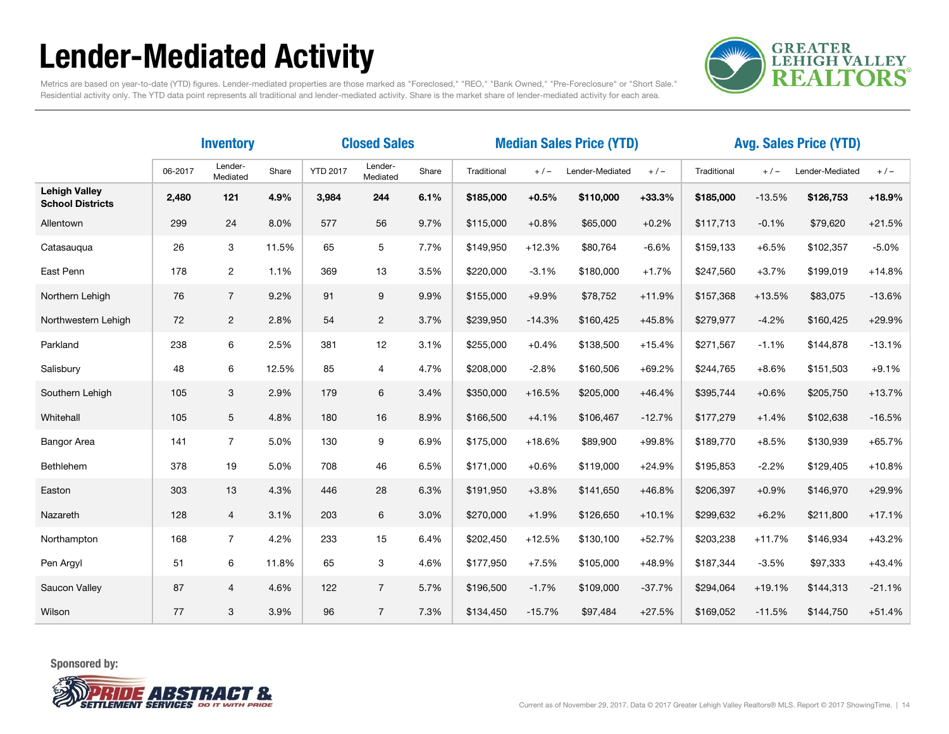## Lender-Mediated Activity

![](_page_13_Picture_1.jpeg)

Metrics are based on year-to-date (YTD) figures. Lender-mediated properties are those marked as "Foreclosed," "REO," "Bank Owned," "Pre-Foreclosure" or "Short Sale." Residential activity only. The YTD data point represents all traditional and lender-mediated activity. Share is the market share of lender-mediated activity for each area.

|                                                 | <b>Inventory</b> |                     |       |                 | <b>Closed Sales</b> | <b>Median Sales Price (YTD)</b> |             |          |                 |          | <b>Avg. Sales Price (YTD)</b> |          |                 |          |  |
|-------------------------------------------------|------------------|---------------------|-------|-----------------|---------------------|---------------------------------|-------------|----------|-----------------|----------|-------------------------------|----------|-----------------|----------|--|
|                                                 | 06-2017          | Lender-<br>Mediated | Share | <b>YTD 2017</b> | Lender-<br>Mediated | Share                           | Traditional | $+/-$    | Lender-Mediated | $+/-$    | Traditional                   | $+/-$    | Lender-Mediated | $+/-$    |  |
| <b>Lehigh Valley</b><br><b>School Districts</b> | 2,480            | 121                 | 4.9%  | 3,984           | 244                 | 6.1%                            | \$185,000   | $+0.5%$  | \$110,000       | $+33.3%$ | \$185,000                     | $-13.5%$ | \$126,753       | $+18.9%$ |  |
| Allentown                                       | 299              | 24                  | 8.0%  | 577             | 56                  | 9.7%                            | \$115,000   | $+0.8%$  | \$65,000        | $+0.2%$  | \$117,713                     | $-0.1%$  | \$79,620        | $+21.5%$ |  |
| Catasaugua                                      | 26               | 3                   | 11.5% | 65              | 5                   | 7.7%                            | \$149,950   | $+12.3%$ | \$80,764        | $-6.6%$  | \$159,133                     | $+6.5%$  | \$102,357       | $-5.0%$  |  |
| East Penn                                       | 178              | $\overline{2}$      | 1.1%  | 369             | 13                  | 3.5%                            | \$220,000   | $-3.1%$  | \$180,000       | $+1.7%$  | \$247,560                     | $+3.7%$  | \$199,019       | $+14.8%$ |  |
| Northern Lehigh                                 | 76               | $\overline{7}$      | 9.2%  | 91              | 9                   | 9.9%                            | \$155,000   | $+9.9%$  | \$78,752        | $+11.9%$ | \$157,368                     | $+13.5%$ | \$83,075        | $-13.6%$ |  |
| Northwestern Lehigh                             | 72               | $\overline{2}$      | 2.8%  | 54              | $\mathbf{2}$        | 3.7%                            | \$239,950   | $-14.3%$ | \$160,425       | $+45.8%$ | \$279,977                     | $-4.2%$  | \$160,425       | +29.9%   |  |
| Parkland                                        | 238              | 6                   | 2.5%  | 381             | 12                  | 3.1%                            | \$255,000   | $+0.4%$  | \$138,500       | $+15.4%$ | \$271,567                     | $-1.1%$  | \$144,878       | $-13.1%$ |  |
| Salisbury                                       | 48               | 6                   | 12.5% | 85              | 4                   | 4.7%                            | \$208,000   | $-2.8%$  | \$160,506       | $+69.2%$ | \$244,765                     | $+8.6%$  | \$151,503       | $+9.1%$  |  |
| Southern Lehigh                                 | 105              | 3                   | 2.9%  | 179             | 6                   | 3.4%                            | \$350,000   | $+16.5%$ | \$205,000       | $+46.4%$ | \$395,744                     | $+0.6%$  | \$205,750       | $+13.7%$ |  |
| Whitehall                                       | 105              | 5                   | 4.8%  | 180             | 16                  | 8.9%                            | \$166,500   | $+4.1%$  | \$106,467       | $-12.7%$ | \$177,279                     | $+1.4%$  | \$102,638       | $-16.5%$ |  |
| <b>Bangor Area</b>                              | 141              | $\overline{7}$      | 5.0%  | 130             | 9                   | 6.9%                            | \$175,000   | $+18.6%$ | \$89,900        | +99.8%   | \$189,770                     | $+8.5%$  | \$130,939       | $+65.7%$ |  |
| Bethlehem                                       | 378              | 19                  | 5.0%  | 708             | 46                  | 6.5%                            | \$171,000   | $+0.6%$  | \$119,000       | $+24.9%$ | \$195,853                     | $-2.2%$  | \$129,405       | $+10.8%$ |  |
| Easton                                          | 303              | 13                  | 4.3%  | 446             | 28                  | 6.3%                            | \$191,950   | $+3.8%$  | \$141,650       | $+46.8%$ | \$206,397                     | $+0.9%$  | \$146,970       | +29.9%   |  |
| Nazareth                                        | 128              | $\overline{4}$      | 3.1%  | 203             | 6                   | 3.0%                            | \$270,000   | $+1.9%$  | \$126,650       | $+10.1%$ | \$299,632                     | $+6.2%$  | \$211,800       | $+17.1%$ |  |
| Northampton                                     | 168              | $\overline{7}$      | 4.2%  | 233             | 15                  | 6.4%                            | \$202,450   | $+12.5%$ | \$130,100       | $+52.7%$ | \$203,238                     | $+11.7%$ | \$146,934       | $+43.2%$ |  |
| Pen Argyl                                       | 51               | 6                   | 11.8% | 65              | 3                   | 4.6%                            | \$177,950   | $+7.5%$  | \$105,000       | $+48.9%$ | \$187,344                     | $-3.5%$  | \$97,333        | $+43.4%$ |  |
| Saucon Valley                                   | 87               | $\overline{4}$      | 4.6%  | 122             | $\overline{7}$      | 5.7%                            | \$196,500   | $-1.7%$  | \$109,000       | $-37.7%$ | \$294,064                     | $+19.1%$ | \$144,313       | $-21.1%$ |  |
| Wilson                                          | 77               | 3                   | 3.9%  | 96              | $\overline{7}$      | 7.3%                            | \$134,450   | $-15.7%$ | \$97,484        | $+27.5%$ | \$169,052                     | $-11.5%$ | \$144,750       | $+51.4%$ |  |

![](_page_13_Picture_5.jpeg)